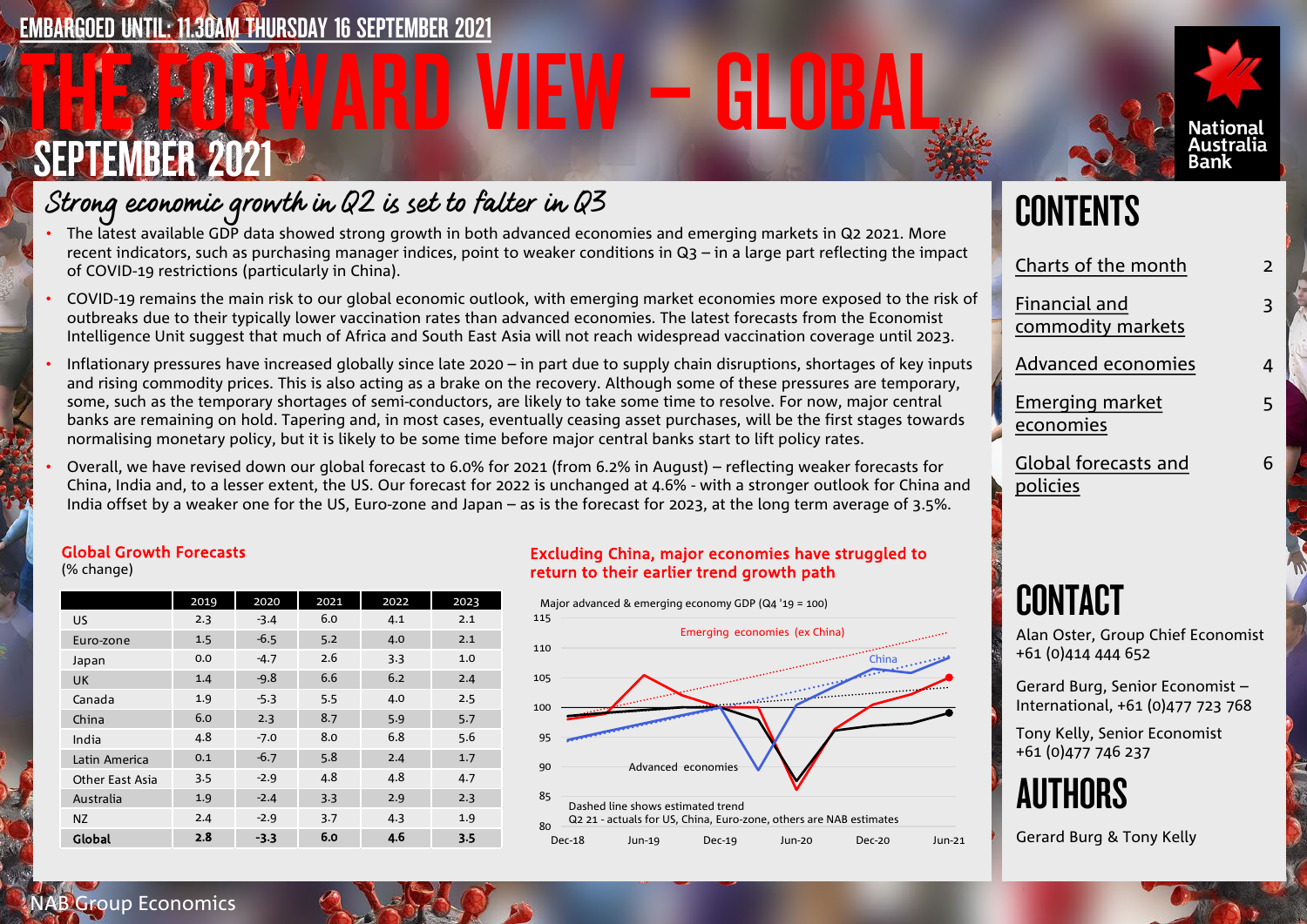## EMBARGOED UNTIL: 11.30AM THURSDAY 16 SEPTEMBER 2021

# THE FORWARD VIEW – GLOBAL SEPTEMBER 2021



- The latest available GDP data showed strong growth in both advanced economies and emerging markets in Q2 2021. More recent indicators, such as purchasing manager indices, point to weaker conditions in Q3 – in a large part reflecting the impact of COVID-19 restrictions (particularly in China).
- COVID-19 remains the main risk to our global economic outlook, with emerging market economies more exposed to the risk of outbreaks due to their typically lower vaccination rates than advanced economies. The latest forecasts from the Economist Intelligence Unit suggest that much of Africa and South East Asia will not reach widespread vaccination coverage until 2023.
- Inflationary pressures have increased globally since late 2020 in part due to supply chain disruptions, shortages of key inputs and rising commodity prices. This is also acting as a brake on the recovery. Although some of these pressures are temporary, some, such as the temporary shortages of semi-conductors, are likely to take some time to resolve. For now, major central banks are remaining on hold. Tapering and, in most cases, eventually ceasing asset purchases, will be the first stages towards normalising monetary policy, but it is likely to be some time before major central banks start to lift policy rates.
- Overall, we have revised down our global forecast to 6.0% for 2021 (from 6.2% in August) reflecting weaker forecasts for China, India and, to a lesser extent, the US. Our forecast for 2022 is unchanged at 4.6% - with a stronger outlook for China and India offset by a weaker one for the US, Euro-zone and Japan – as is the forecast for 2023, at the long term average of 3.5%.

### Global Growth Forecasts

(% change)

|                        | 2019 | 2020   | 2021 | 2022 | 2023 |
|------------------------|------|--------|------|------|------|
| <b>US</b>              | 2.3  | $-3.4$ | 6.0  | 4.1  | 2.1  |
| Euro-zone              | 1.5  | $-6.5$ | 5.2  | 4.0  | 2.1  |
| Japan                  | 0.0  | $-4.7$ | 2.6  | 3.3  | 1.0  |
| <b>UK</b>              | 1.4  | $-9.8$ | 6.6  | 6.2  | 2.4  |
| Canada                 | 1.9  | $-5.3$ | 5.5  | 4.0  | 2.5  |
| China                  | 6.0  | 2.3    | 8.7  | 5.9  | 5.7  |
| India                  | 4.8  | $-7.0$ | 8.0  | 6.8  | 5.6  |
| Latin America          | 0.1  | $-6.7$ | 5.8  | 2.4  | 1.7  |
| <b>Other East Asia</b> | 3.5  | $-2.9$ | 4.8  | 4.8  | 4.7  |
| Australia              | 1.9  | $-2.4$ | 3.3  | 2.9  | 2.3  |
| <b>NZ</b>              | 2.4  | $-2.9$ | 3.7  | 4.3  | 1.9  |
| Global                 | 2.8  | $-3.3$ | 6.0  | 4.6  | 3.5  |

### Excluding China, major economies have struggled to return to their earlier trend growth path



# **CONTENTS**

| Charts of the month                | 2 |
|------------------------------------|---|
| Financial and<br>commodity markets | 3 |
| <b>Advanced economies</b>          | 4 |
| Emerging market<br>economies       | 5 |
| Global forecasts and<br>policies   | 6 |

Nationa Australia Bank

# **CONTACT**

Alan Oster, Group Chief Economist +61 (0)414 444 652

Gerard Burg, Senior Economist – International, +61 (0)477 723 768

Tony Kelly, Senior Economist +61 (0)477 746 237



Gerard Burg & Tony Kelly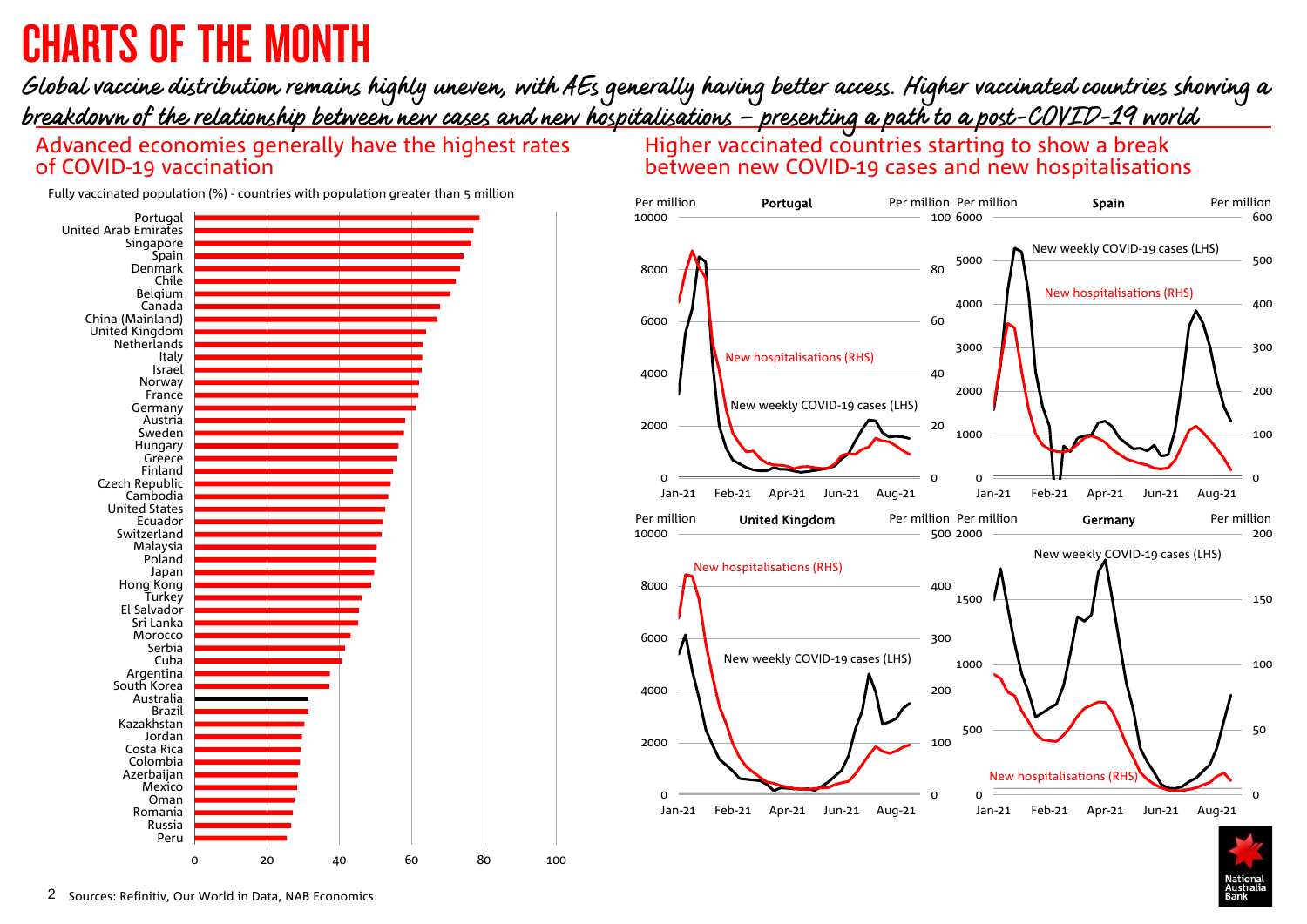# <span id="page-1-0"></span>CHARTS OF THE MONTH

## Global vaccine distribution remains highly uneven, with AEs generally having better access. Higher vaccinated countries showing a breakdown of the relationship between new cases and new hospitalisations – presenting a path to a post-COVID-19 world

Advanced economies generally have the highest rates of COVID-19 vaccination

Higher vaccinated countries starting to show a break between new COVID-19 cases and new hospitalisations



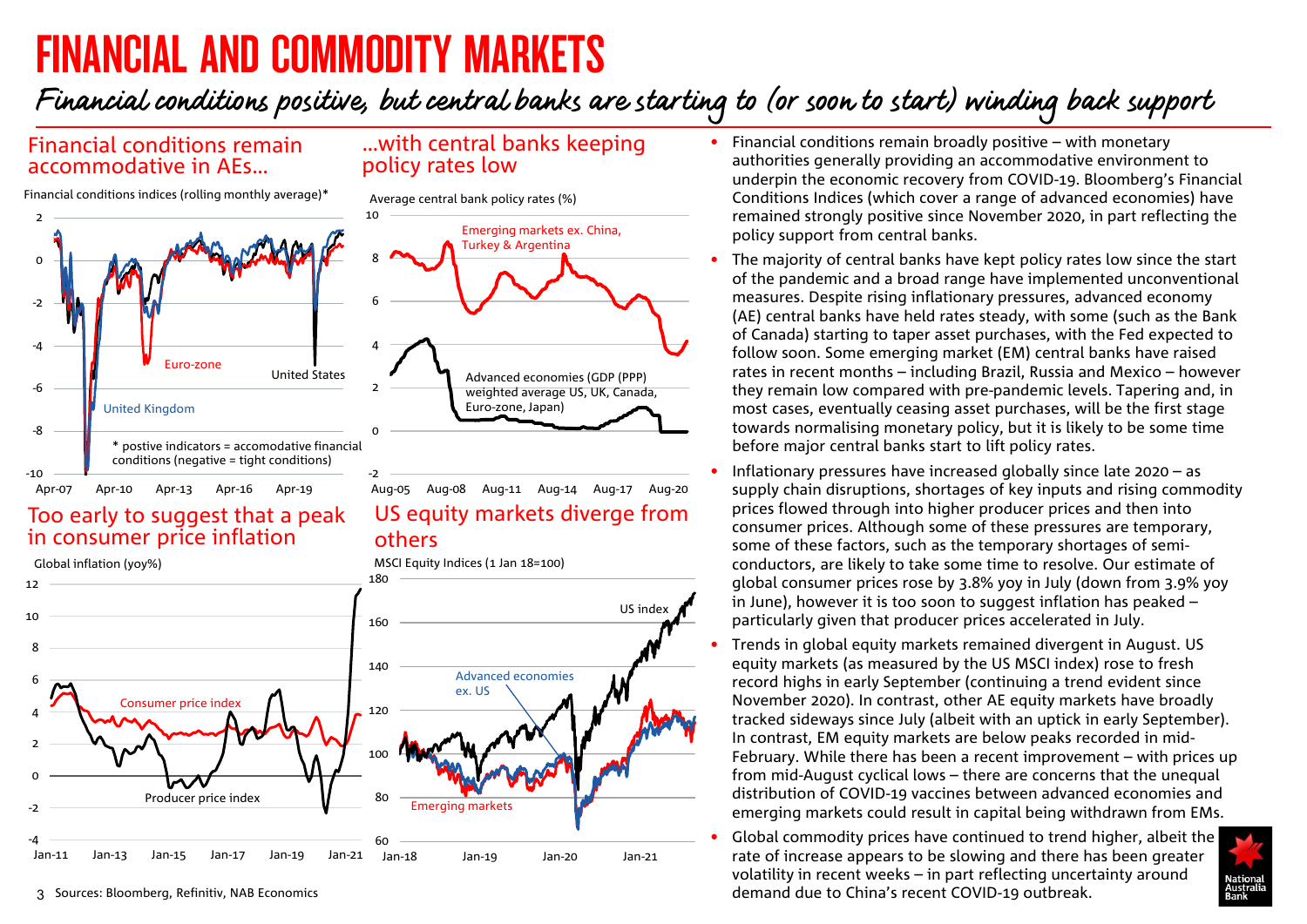# <span id="page-2-0"></span>FINANCIAL AND COMMODITY MARKETS

Financial conditions positive, but central banks are starting to (or soon to start) winding back support

…with central banks keeping

policy rates low

Average central bank policy rates (%)

### Financial conditions remain accommodative in AEs…

Financial conditions indices (rolling monthly average)\*



### Too early to suggest that a peak in consumer price inflation



others

- Financial conditions remain broadly positive with monetary authorities generally providing an accommodative environment to underpin the economic recovery from COVID-19. Bloomberg's Financial Conditions Indices (which cover a range of advanced economies) have remained strongly positive since November 2020, in part reflecting the policy support from central banks.
- The majority of central banks have kept policy rates low since the start of the pandemic and a broad range have implemented unconventional measures. Despite rising inflationary pressures, advanced economy (AE) central banks have held rates steady, with some (such as the Bank of Canada) starting to taper asset purchases, with the Fed expected to follow soon. Some emerging market (EM) central banks have raised rates in recent months – including Brazil, Russia and Mexico – however they remain low compared with pre-pandemic levels. Tapering and, in most cases, eventually ceasing asset purchases, will be the first stage towards normalising monetary policy, but it is likely to be some time before major central banks start to lift policy rates.
- Inflationary pressures have increased globally since late 2020 as supply chain disruptions, shortages of key inputs and rising commodity prices flowed through into higher producer prices and then into consumer prices. Although some of these pressures are temporary, some of these factors, such as the temporary shortages of semiconductors, are likely to take some time to resolve. Our estimate of global consumer prices rose by 3.8% yoy in July (down from 3.9% yoy in June), however it is too soon to suggest inflation has peaked – particularly given that producer prices accelerated in July.
- Trends in global equity markets remained divergent in August. US equity markets (as measured by the US MSCI index) rose to fresh record highs in early September (continuing a trend evident since November 2020). In contrast, other AE equity markets have broadly tracked sideways since July (albeit with an uptick in early September). In contrast, EM equity markets are below peaks recorded in mid-February. While there has been a recent improvement – with prices up from mid-August cyclical lows – there are concerns that the unequal distribution of COVID-19 vaccines between advanced economies and emerging markets could result in capital being withdrawn from EMs.
- Global commodity prices have continued to trend higher, albeit the rate of increase appears to be slowing and there has been greater volatility in recent weeks – in part reflecting uncertainty around demand due to China's recent COVID-19 outbreak.

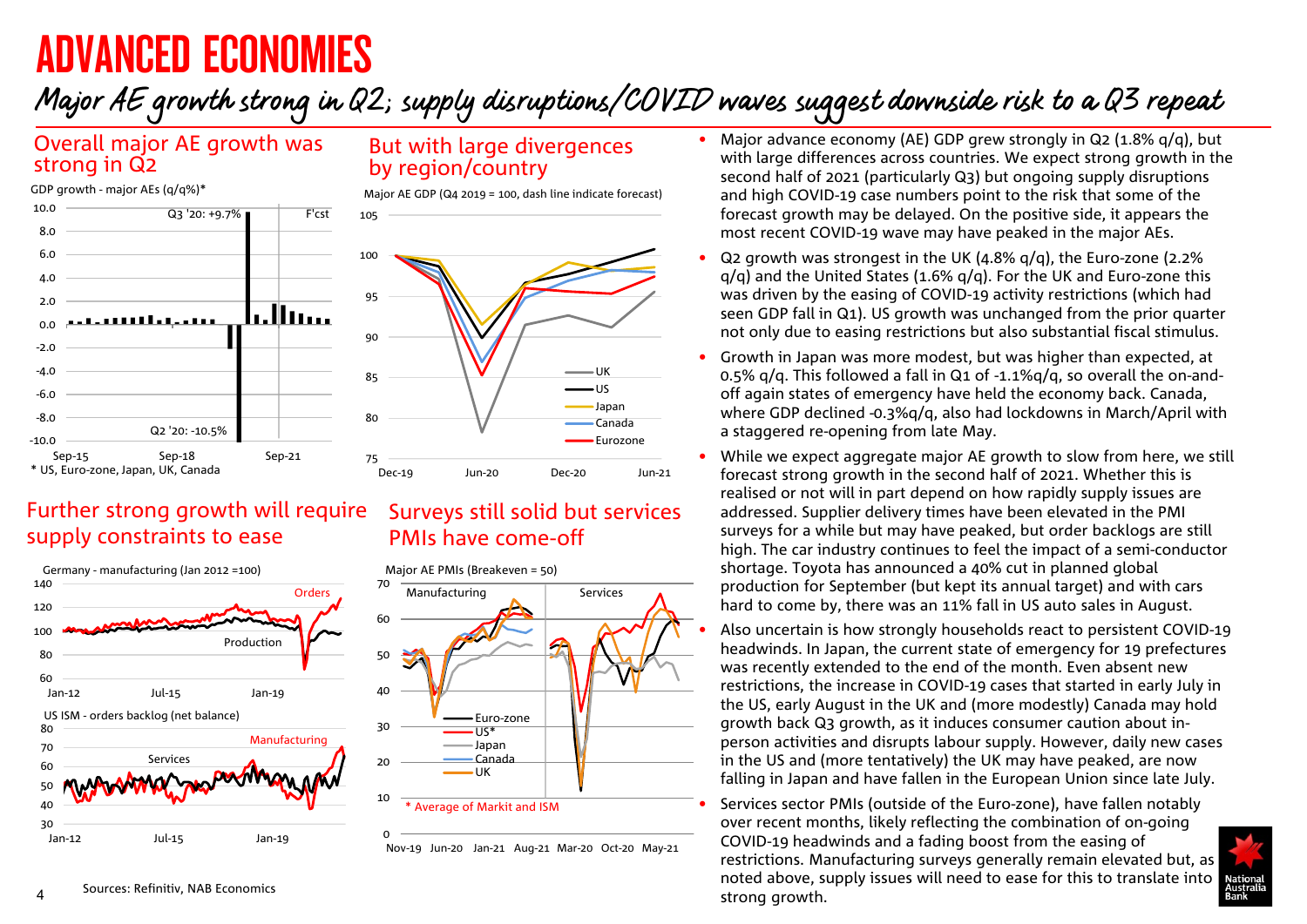# <span id="page-3-0"></span>ADVANCED ECONOMIES

# Major AE growth strong in Q2; supply disruptions/COVID waves suggest downside risk to a Q3 repeat

### Overall major AE growth was strong in Q2



### But with large divergences by region/country

Major AE GDP (Q4 2019 = 100, dash line indicate forecast)



## Further strong growth will require supply constraints to ease



### Surveys still solid but services PMIs have come-off



Canada UK

\* Average of Markit and ISM

Nov-19 Jun-20 Jan-21 Aug-21 Mar-20 Oct-20 May-21

 $\Omega$ 

10

20

- Major advance economy (AE) GDP grew strongly in Q2 (1.8%  $q/q$ ), but with large differences across countries. We expect strong growth in the second half of 2021 (particularly Q3) but ongoing supply disruptions and high COVID-19 case numbers point to the risk that some of the forecast growth may be delayed. On the positive side, it appears the most recent COVID-19 wave may have peaked in the major AEs.
- Q2 growth was strongest in the UK (4.8% q/q), the Euro-zone (2.2%  $q/q$ ) and the United States (1.6%  $q/q$ ). For the UK and Euro-zone this was driven by the easing of COVID-19 activity restrictions (which had seen GDP fall in Q1). US growth was unchanged from the prior quarter not only due to easing restrictions but also substantial fiscal stimulus.
- Growth in Japan was more modest, but was higher than expected, at 0.5% q/q. This followed a fall in Q1 of -1.1%q/q, so overall the on-andoff again states of emergency have held the economy back. Canada, where GDP declined -0.3%q/q, also had lockdowns in March/April with a staggered re-opening from late May.
- While we expect aggregate major AE growth to slow from here, we still forecast strong growth in the second half of 2021. Whether this is realised or not will in part depend on how rapidly supply issues are addressed. Supplier delivery times have been elevated in the PMI surveys for a while but may have peaked, but order backlogs are still high. The car industry continues to feel the impact of a semi-conductor shortage. Toyota has announced a 40% cut in planned global production for September (but kept its annual target) and with cars hard to come by, there was an 11% fall in US auto sales in August.

• Also uncertain is how strongly households react to persistent COVID-19 headwinds. In Japan, the current state of emergency for 19 prefectures was recently extended to the end of the month. Even absent new restrictions, the increase in COVID-19 cases that started in early July in the US, early August in the UK and (more modestly) Canada may hold growth back Q3 growth, as it induces consumer caution about inperson activities and disrupts labour supply. However, daily new cases in the US and (more tentatively) the UK may have peaked, are now falling in Japan and have fallen in the European Union since late July.

• Services sector PMIs (outside of the Euro-zone), have fallen notably over recent months, likely reflecting the combination of on-going COVID-19 headwinds and a fading boost from the easing of restrictions. Manufacturing surveys generally remain elevated but, as noted above, supply issues will need to ease for this to translate into strong growth.

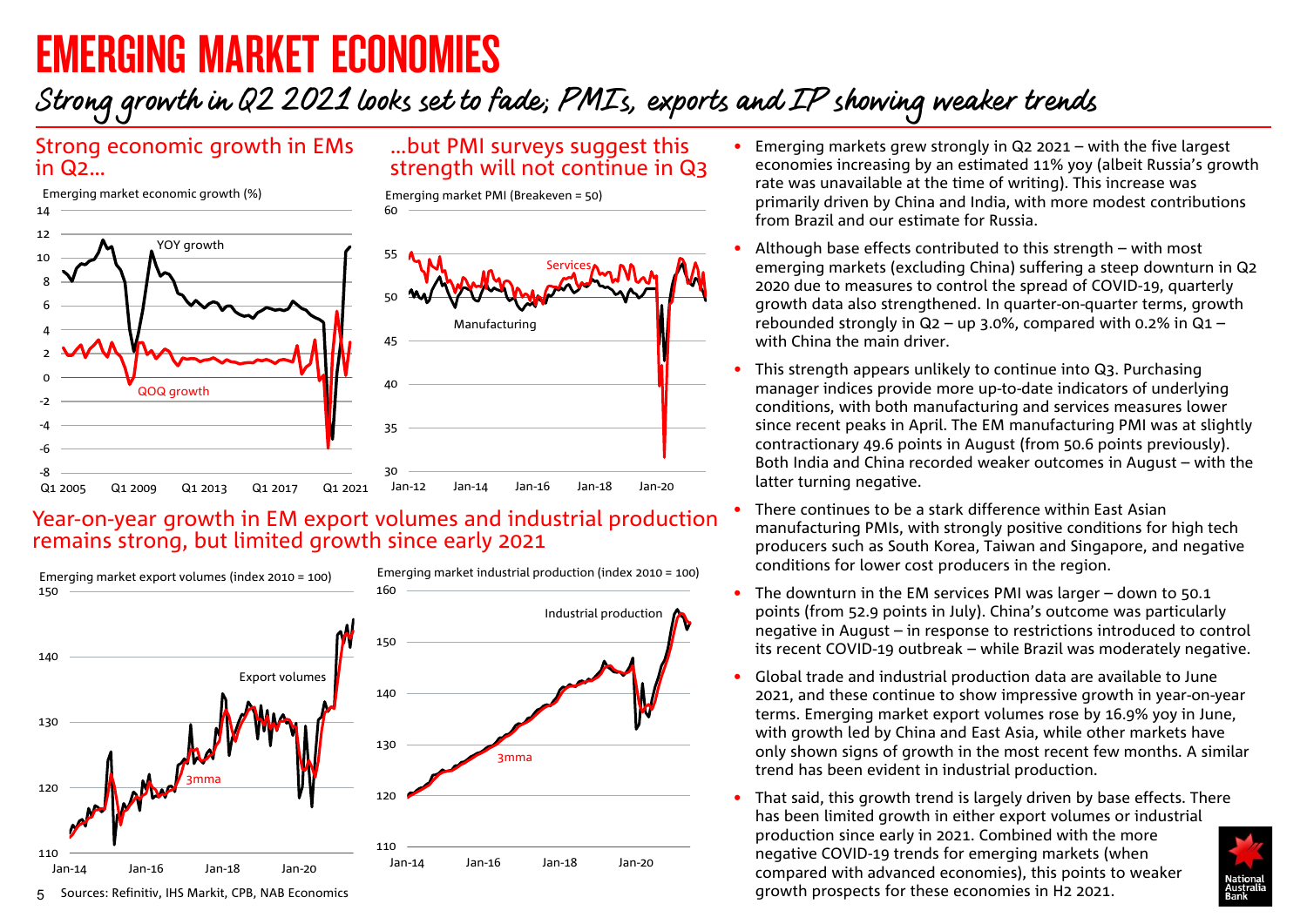# <span id="page-4-0"></span>EMERGING MARKET ECONOMIES

## Strong growth in Q2 2021 looks set to fade; PMIs, exports and IP showing weaker trends

### Strong economic growth in EMs in Q2…



30 35 40 45 50 55 60 Jan-12 Jan-14 Jan-16 Jan-18 Jan-20 Emerging market PMI (Breakeven = 50) **Services** Manufacturing -8 -6 -4  $-2$  $\Omega$  $\overline{2}$  $\overline{A}$ 6 8 10 12 14 Q1 2005 Q1 2009 Q1 2013 Q1 2017 Q1 2021 YOY arowth QOQ growth Emerging market economic growth (%)

### Year-on-year growth in EM export volumes and industrial production remains strong, but limited growth since early 2021



- Emerging markets grew strongly in Q2 2021 with the five largest economies increasing by an estimated 11% yoy (albeit Russia's growth rate was unavailable at the time of writing). This increase was primarily driven by China and India, with more modest contributions from Brazil and our estimate for Russia.
- Although base effects contributed to this strength with most emerging markets (excluding China) suffering a steep downturn in Q2 2020 due to measures to control the spread of COVID-19, quarterly growth data also strengthened. In quarter-on-quarter terms, growth rebounded strongly in  $Q_2$  – up 3.0%, compared with 0.2% in  $Q_1$  – with China the main driver.
- This strength appears unlikely to continue into Q3. Purchasing manager indices provide more up-to-date indicators of underlying conditions, with both manufacturing and services measures lower since recent peaks in April. The EM manufacturing PMI was at slightly contractionary 49.6 points in August (from 50.6 points previously). Both India and China recorded weaker outcomes in August – with the latter turning negative.
- There continues to be a stark difference within East Asian manufacturing PMIs, with strongly positive conditions for high tech producers such as South Korea, Taiwan and Singapore, and negative conditions for lower cost producers in the region.
- The downturn in the EM services PMI was larger down to 50.1 points (from 52.9 points in July). China's outcome was particularly negative in August – in response to restrictions introduced to control its recent COVID-19 outbreak – while Brazil was moderately negative.
- Global trade and industrial production data are available to June 2021, and these continue to show impressive growth in year-on-year terms. Emerging market export volumes rose by 16.9% yoy in June, with growth led by China and East Asia, while other markets have only shown signs of growth in the most recent few months. A similar trend has been evident in industrial production.
- That said, this growth trend is largely driven by base effects. There has been limited growth in either export volumes or industrial production since early in 2021. Combined with the more negative COVID-19 trends for emerging markets (when compared with advanced economies), this points to weaker growth prospects for these economies in H2 2021.

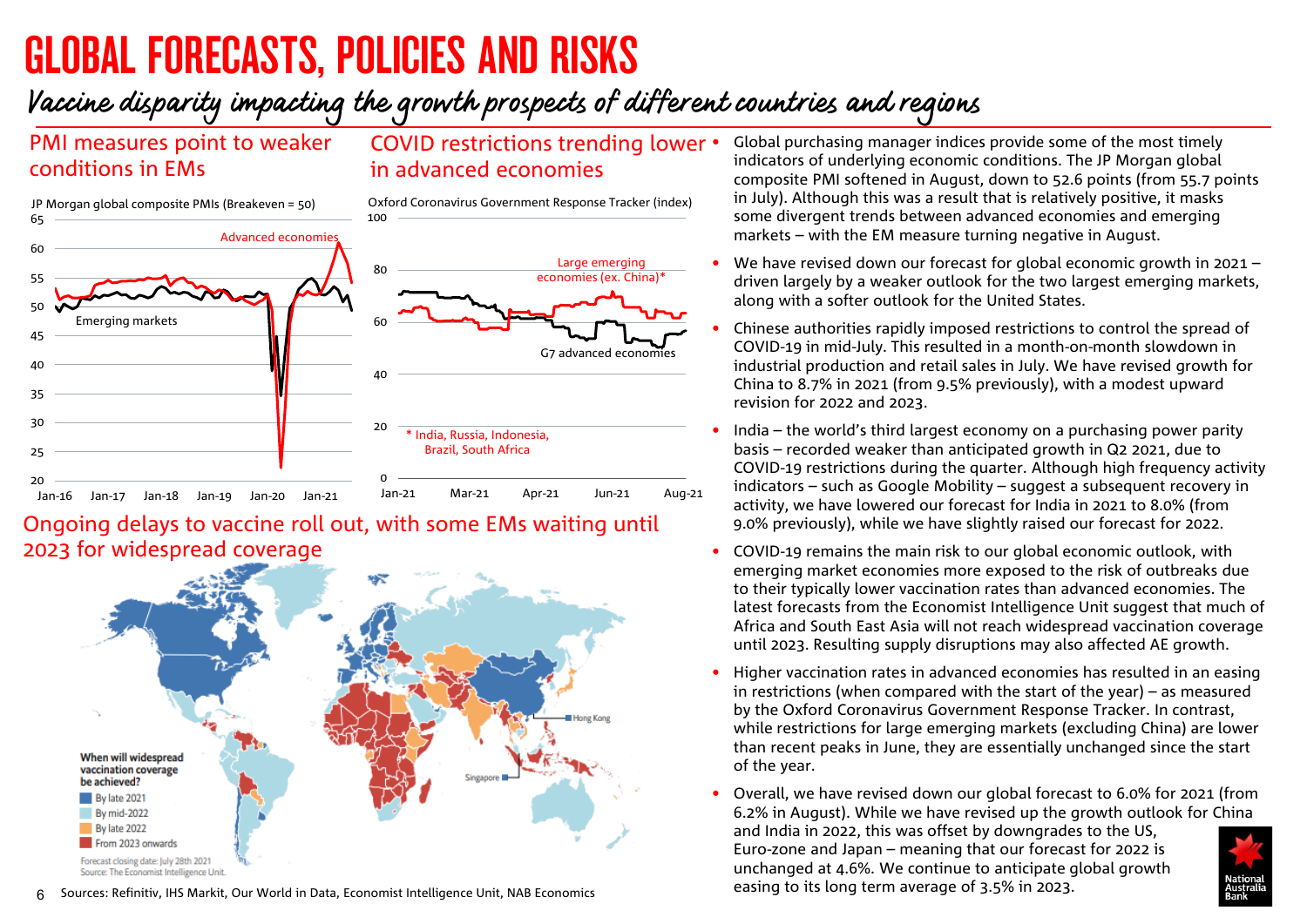# <span id="page-5-0"></span>GLOBAL FORECASTS, POLICIES AND RISKS

## Vaccine disparity impacting the growth prospects of different countries and regions

## PMI measures point to weaker conditions in EMs

### COVID restrictions trending lower in advanced economies

 $20$ 25 30 35 40 45 50 55 60 65 Jan-16 Jan-17 Jan-18 Jan-19 Jan-20 Jan-21 JP Morgan global composite PMIs (Breakeven = 50) Advanced economies Emerging markets 0 20  $\overline{40}$ 60 80 100 Jan-21 Mar-21 Apr-21 Jun-21 Aug-21 Oxford Coronavirus Government Response Tracker (index) Large emerging economies (ex. China)<sup>\*</sup> G7 advanced economies \* India, Russia, Indonesia, Brazil, South Africa

### Ongoing delays to vaccine roll out, with some EMs waiting until 2023 for widespread coverage



- Global purchasing manager indices provide some of the most timely indicators of underlying economic conditions. The JP Morgan global composite PMI softened in August, down to 52.6 points (from 55.7 points in July). Although this was a result that is relatively positive, it masks some divergent trends between advanced economies and emerging markets – with the EM measure turning negative in August.
- We have revised down our forecast for global economic growth in 2021 driven largely by a weaker outlook for the two largest emerging markets, along with a softer outlook for the United States.
- Chinese authorities rapidly imposed restrictions to control the spread of COVID-19 in mid-July. This resulted in a month-on-month slowdown in industrial production and retail sales in July. We have revised growth for China to 8.7% in 2021 (from 9.5% previously), with a modest upward revision for 2022 and 2023.
- India the world's third largest economy on a purchasing power parity basis – recorded weaker than anticipated growth in Q2 2021, due to COVID-19 restrictions during the quarter. Although high frequency activity indicators – such as Google Mobility – suggest a subsequent recovery in activity, we have lowered our forecast for India in 2021 to 8.0% (from 9.0% previously), while we have slightly raised our forecast for 2022.
- COVID-19 remains the main risk to our global economic outlook, with emerging market economies more exposed to the risk of outbreaks due to their typically lower vaccination rates than advanced economies. The latest forecasts from the Economist Intelligence Unit suggest that much of Africa and South East Asia will not reach widespread vaccination coverage until 2023. Resulting supply disruptions may also affected AE growth.
- Higher vaccination rates in advanced economies has resulted in an easing in restrictions (when compared with the start of the year) – as measured by the Oxford Coronavirus Government Response Tracker. In contrast, while restrictions for large emerging markets (excluding China) are lower than recent peaks in June, they are essentially unchanged since the start of the year.
- Overall, we have revised down our global forecast to 6.0% for 2021 (from 6.2% in August). While we have revised up the growth outlook for China and India in 2022, this was offset by downgrades to the US, Euro-zone and Japan – meaning that our forecast for 2022 is unchanged at 4.6%. We continue to anticipate global growth easing to its long term average of 3.5% in 2023.